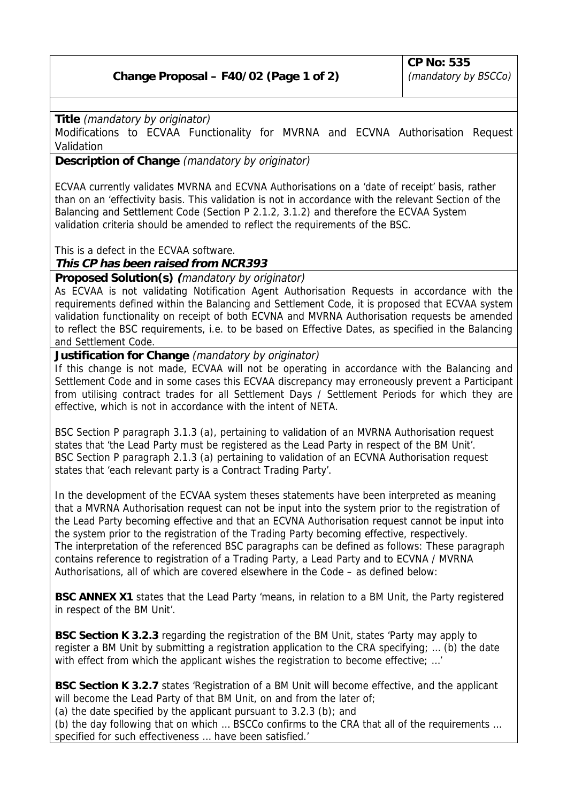## **Change Proposal – F40/02 (Page 1 of 2)**

**Title** (mandatory by originator)

Modifications to ECVAA Functionality for MVRNA and ECVNA Authorisation Request Validation

**Description of Change** (mandatory by originator)

ECVAA currently validates MVRNA and ECVNA Authorisations on a 'date of receipt' basis, rather than on an 'effectivity basis. This validation is not in accordance with the relevant Section of the Balancing and Settlement Code (Section P 2.1.2, 3.1.2) and therefore the ECVAA System validation criteria should be amended to reflect the requirements of the BSC.

This is a defect in the ECVAA software.

**This CP has been raised from NCR393**

**Proposed Solution(s) (**mandatory by originator)

As ECVAA is not validating Notification Agent Authorisation Requests in accordance with the requirements defined within the Balancing and Settlement Code, it is proposed that ECVAA system validation functionality on receipt of both ECVNA and MVRNA Authorisation requests be amended to reflect the BSC requirements, i.e. to be based on Effective Dates, as specified in the Balancing and Settlement Code.

**Justification for Change** (mandatory by originator)

If this change is not made, ECVAA will not be operating in accordance with the Balancing and Settlement Code and in some cases this ECVAA discrepancy may erroneously prevent a Participant from utilising contract trades for all Settlement Days / Settlement Periods for which they are effective, which is not in accordance with the intent of NETA.

BSC Section P paragraph 3.1.3 (a), pertaining to validation of an MVRNA Authorisation request states that 'the Lead Party must be registered as the Lead Party in respect of the BM Unit'. BSC Section P paragraph 2.1.3 (a) pertaining to validation of an ECVNA Authorisation request states that 'each relevant party is a Contract Trading Party'.

In the development of the ECVAA system theses statements have been interpreted as meaning that a MVRNA Authorisation request can not be input into the system prior to the registration of the Lead Party becoming effective and that an ECVNA Authorisation request cannot be input into the system prior to the registration of the Trading Party becoming effective, respectively. The interpretation of the referenced BSC paragraphs can be defined as follows: These paragraph contains reference to registration of a Trading Party, a Lead Party and to ECVNA / MVRNA Authorisations, all of which are covered elsewhere in the Code – as defined below:

**BSC ANNEX X1** states that the Lead Party 'means, in relation to a BM Unit, the Party registered in respect of the BM Unit'.

**BSC Section K 3.2.3** regarding the registration of the BM Unit, states 'Party may apply to register a BM Unit by submitting a registration application to the CRA specifying; … (b) the date with effect from which the applicant wishes the registration to become effective; ...'

**BSC Section K 3.2.7** states 'Registration of a BM Unit will become effective, and the applicant will become the Lead Party of that BM Unit, on and from the later of;

(a) the date specified by the applicant pursuant to  $3.2.3$  (b); and

(b) the day following that on which … BSCCo confirms to the CRA that all of the requirements … specified for such effectiveness … have been satisfied.'